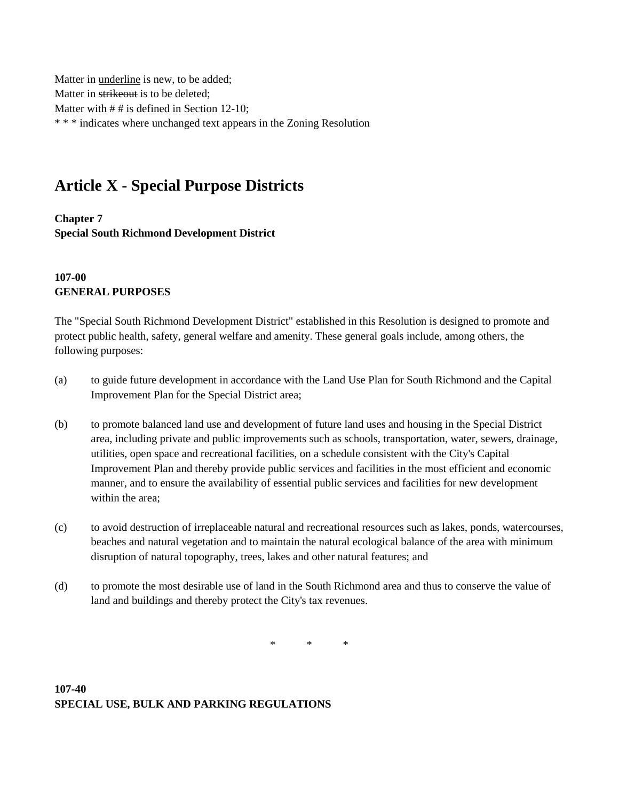Matter in underline is new, to be added; Matter in strikeout is to be deleted; Matter with  $# #$  is defined in Section 12-10; \* \* \* indicates where unchanged text appears in the Zoning Resolution

# **Article X - Special Purpose Districts**

**Chapter 7 Special South Richmond Development District**

#### **107-00 GENERAL PURPOSES**

The "Special South Richmond Development District" established in this Resolution is designed to promote and protect public health, safety, general welfare and amenity. These general goals include, among others, the following purposes:

- (a) to guide future development in accordance with the Land Use Plan for South Richmond and the Capital Improvement Plan for the Special District area;
- (b) to promote balanced land use and development of future land uses and housing in the Special District area, including private and public improvements such as schools, transportation, water, sewers, drainage, utilities, open space and recreational facilities, on a schedule consistent with the City's Capital Improvement Plan and thereby provide public services and facilities in the most efficient and economic manner, and to ensure the availability of essential public services and facilities for new development within the area;
- (c) to avoid destruction of irreplaceable natural and recreational resources such as lakes, ponds, watercourses, beaches and natural vegetation and to maintain the natural ecological balance of the area with minimum disruption of natural topography, trees, lakes and other natural features; and
- (d) to promote the most desirable use of land in the South Richmond area and thus to conserve the value of land and buildings and thereby protect the City's tax revenues.

\* \* \*

**107-40 SPECIAL USE, BULK AND PARKING REGULATIONS**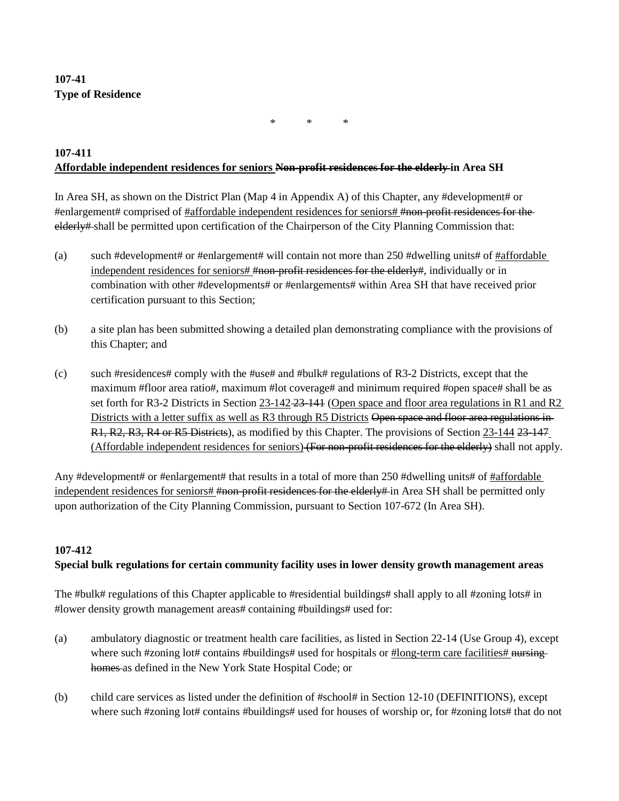# **107-41 Type of Residence**

\* \* \*

#### **107-411 Affordable independent residences for seniors Non-profit residences for the elderly in Area SH**

In Area SH, as shown on the District Plan (Map 4 in Appendix A) of this Chapter, any #development# or #enlargement# comprised of #affordable independent residences for seniors# #non-profit residences for the elderly# shall be permitted upon certification of the Chairperson of the City Planning Commission that:

- (a) such #development# or #enlargement# will contain not more than 250 #dwelling units# of #affordable independent residences for seniors# #non-profit residences for the elderly#, individually or in combination with other #developments# or #enlargements# within Area SH that have received prior certification pursuant to this Section;
- (b) a site plan has been submitted showing a detailed plan demonstrating compliance with the provisions of this Chapter; and
- (c) such #residences# comply with the #use# and #bulk# regulations of R3-2 Districts, except that the maximum #floor area ratio#, maximum #lot coverage# and minimum required #open space# shall be as set forth for R3-2 Districts in Section 23-142-23-141 (Open space and floor area regulations in R1 and R2 Districts with a letter suffix as well as R3 through R5 Districts Open space and floor area regulations in-R1, R2, R3, R4 or R5 Districts), as modified by this Chapter. The provisions of Section 23-144 23-147 (Affordable independent residences for seniors) (For non-profit residences for the elderly) shall not apply.

Any #development# or #enlargement# that results in a total of more than 250 #dwelling units# of #affordable independent residences for seniors# #non-profit residences for the elderly# in Area SH shall be permitted only upon authorization of the City Planning Commission, pursuant to Section 107-672 (In Area SH).

## **107-412**

## **Special bulk regulations for certain community facility uses in lower density growth management areas**

The #bulk# regulations of this Chapter applicable to #residential buildings# shall apply to all #zoning lots# in #lower density growth management areas# containing #buildings# used for:

- (a) ambulatory diagnostic or treatment health care facilities, as listed in Section 22-14 (Use Group 4), except where such #zoning lot# contains #buildings# used for hospitals or #long-term care facilities# nursinghomes as defined in the New York State Hospital Code; or
- (b) child care services as listed under the definition of #school# in Section 12-10 (DEFINITIONS), except where such #zoning lot# contains #buildings# used for houses of worship or, for #zoning lots# that do not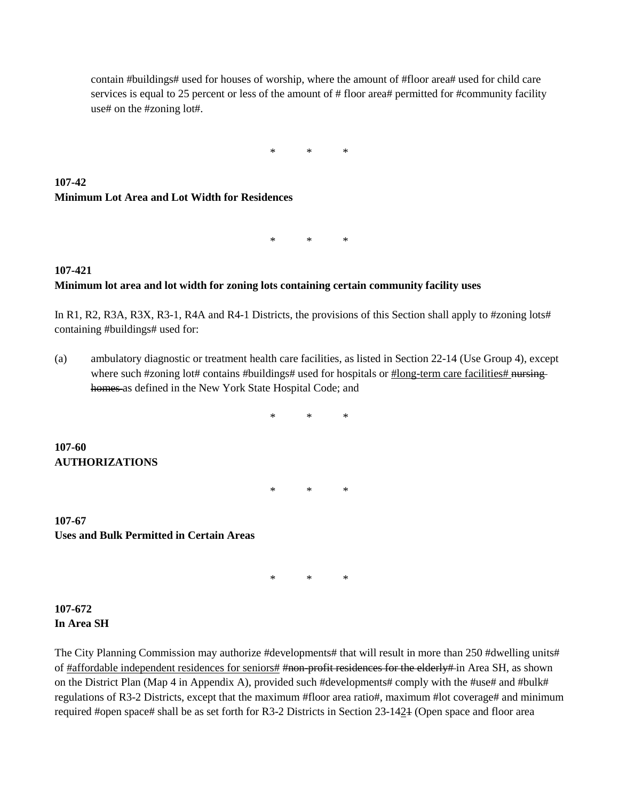contain #buildings# used for houses of worship, where the amount of #floor area# used for child care services is equal to 25 percent or less of the amount of # floor area# permitted for #community facility use# on the #zoning lot#.

\* \* \*

# **107-42 Minimum Lot Area and Lot Width for Residences**

\* \* \*

## **107-421 Minimum lot area and lot width for zoning lots containing certain community facility uses**

In R1, R2, R3A, R3X, R3-1, R4A and R4-1 Districts, the provisions of this Section shall apply to #zoning lots# containing #buildings# used for:

(a) ambulatory diagnostic or treatment health care facilities, as listed in Section 22-14 (Use Group 4), except where such #zoning lot# contains #buildings# used for hospitals or #long-term care facilities# nursinghomes as defined in the New York State Hospital Code; and

\* \* \* **107-60 AUTHORIZATIONS** \* \* \*

**107-67 Uses and Bulk Permitted in Certain Areas**

\* \* \*

#### **107-672 In Area SH**

The City Planning Commission may authorize #developments# that will result in more than 250 #dwelling units# of #affordable independent residences for seniors# #non-profit residences for the elderly# in Area SH, as shown on the District Plan (Map 4 in Appendix A), provided such #developments# comply with the #use# and #bulk# regulations of R3-2 Districts, except that the maximum #floor area ratio#, maximum #lot coverage# and minimum required #open space# shall be as set forth for R3-2 Districts in Section 23-1421 (Open space and floor area